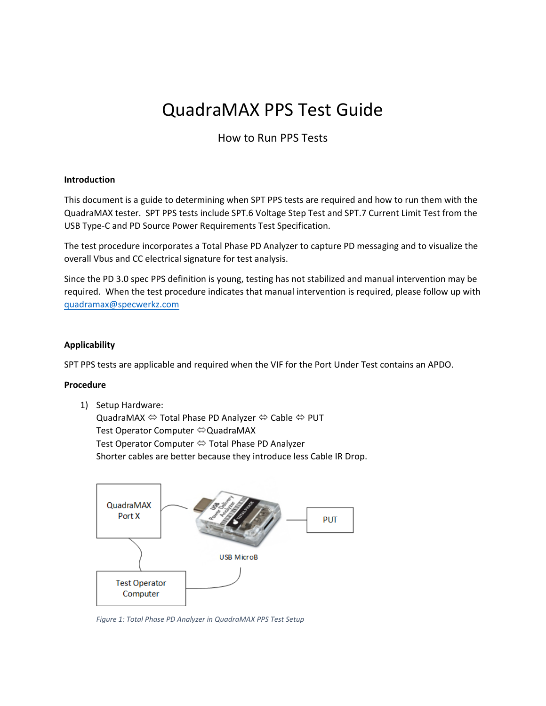# QuadraMAX PPS Test Guide

## How to Run PPS Tests

### **Introduction**

This document is a guide to determining when SPT PPS tests are required and how to run them with the QuadraMAX tester. SPT PPS tests include SPT.6 Voltage Step Test and SPT.7 Current Limit Test from the USB Type‐C and PD Source Power Requirements Test Specification.

The test procedure incorporates a Total Phase PD Analyzer to capture PD messaging and to visualize the overall Vbus and CC electrical signature for test analysis.

Since the PD 3.0 spec PPS definition is young, testing has not stabilized and manual intervention may be required. When the test procedure indicates that manual intervention is required, please follow up with quadramax@specwerkz.com

### **Applicability**

SPT PPS tests are applicable and required when the VIF for the Port Under Test contains an APDO.

#### **Procedure**

1) Setup Hardware:

QuadraMAX Total Phase PD Analyzer Cable PUT Test Operator Computer ⇔QuadraMAX Test Operator Computer <sup>⇔</sup> Total Phase PD Analyzer Shorter cables are better because they introduce less Cable IR Drop.



*Figure 1: Total Phase PD Analyzer in QuadraMAX PPS Test Setup*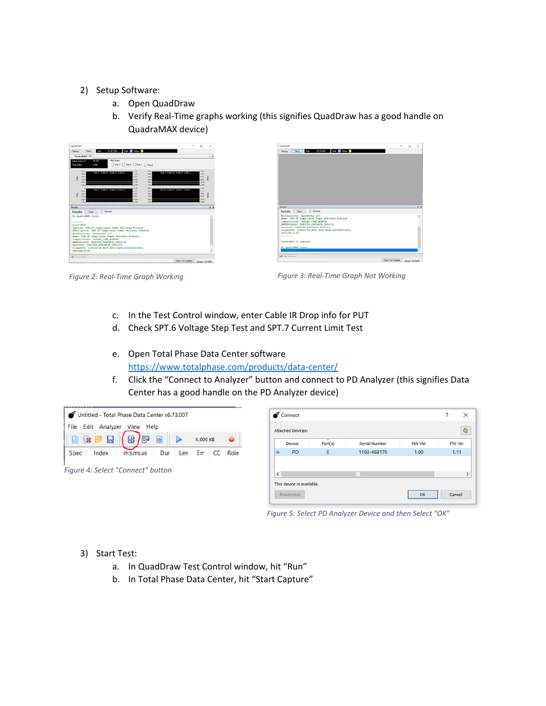### 2) Setup Software:

- a. Open QuadDraw
- b. Verify Real‐Time graphs working (this signifies QuadDraw has a good handle on QuadraMAX device)





*Figure 2: Real‐Time Graph Working Figure 3: Real‐Time Graph Not Working* 

- c. In the Test Control window, enter Cable IR Drop info for PUT
- d. Check SPT.6 Voltage Step Test and SPT.7 Current Limit Test
- e. Open Total Phase Data Center software https://www.totalphase.com/products/data-center/
- f. Click the "Connect to Analyzer" button and connect to PD Analyzer (this signifies Data Center has a good handle on the PD Analyzer device)

| Untitled - Total Phase Data Center v6.73.007 |                        |                                   |     |     |            |    |           |
|----------------------------------------------|------------------------|-----------------------------------|-----|-----|------------|----|-----------|
| File<br>Edit                                 | Analyzer               | View Help                         |     |     |            |    |           |
|                                              | $\Box$<br>$\mathbf{z}$ | $\overline{\mathbb{R}}$<br>/87    | (9) |     | $0.000$ KB |    | $\bullet$ |
| Spec                                         | Index                  | m:s.ms.us                         | Dur | Len | Err        | CC | Role      |
|                                              |                        | Figure 4: Select "Connect" button |     |     |            |    |           |
|                                              |                        |                                   |     |     |            |    |           |
|                                              |                        |                                   |     |     |            |    |           |

*Figure 5: Select PD Analyzer Device and then Select "OK"* 

### 3) Start Test:

- a. In QuadDraw Test Control window, hit "Run"
- b. In Total Phase Data Center, hit "Start Capture"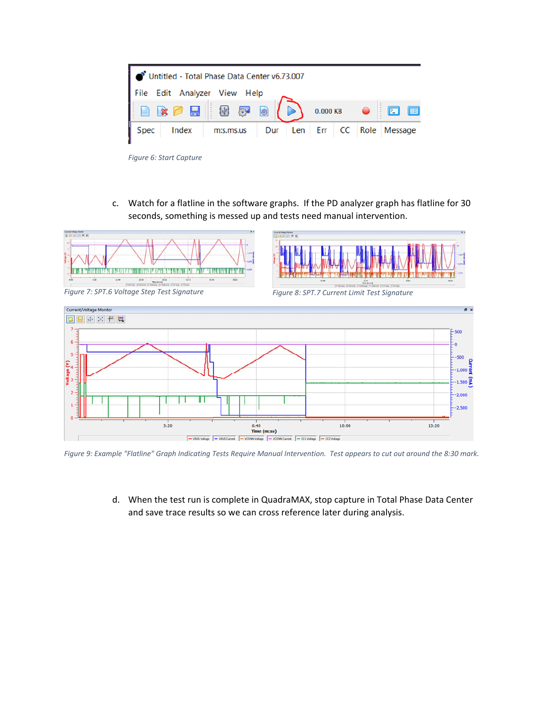| Untitled - Total Phase Data Center v6.73.007 |                              |     |  |  |  |            |                         |   |
|----------------------------------------------|------------------------------|-----|--|--|--|------------|-------------------------|---|
|                                              | File Edit Analyzer View Help |     |  |  |  |            |                         |   |
|                                              |                              |     |  |  |  | $0.000$ KB | $\boxed{2}$             | 匣 |
| <b>Spec</b><br>Index                         | m:s.ms.us                    | Dur |  |  |  |            | Len Err CC Role Message |   |

*Figure 6: Start Capture* 

c. Watch for a flatline in the software graphs. If the PD analyzer graph has flatline for 30 seconds, something is messed up and tests need manual intervention.



*Figure 9: Example "Flatline" Graph Indicating Tests Require Manual Intervention. Test appears to cut out around the 8:30 mark.* 

d. When the test run is complete in QuadraMAX, stop capture in Total Phase Data Center and save trace results so we can cross reference later during analysis.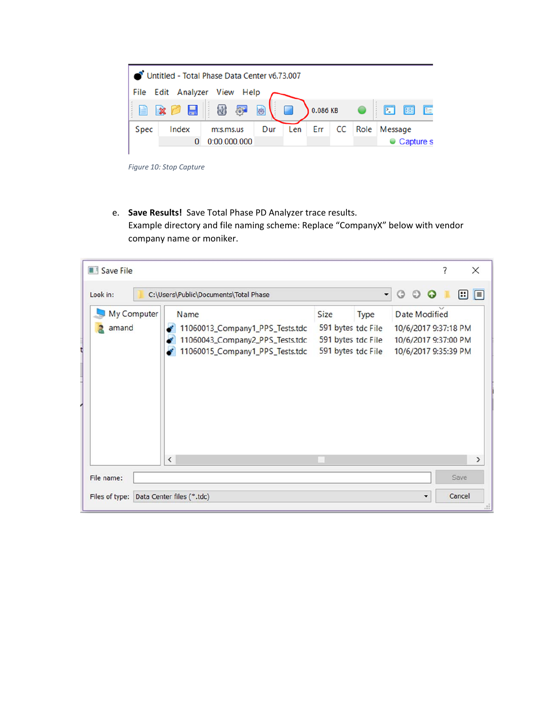| Untitled - Total Phase Data Center v6.73.007 |                     |                                         |     |     |          |    |      |             |           |   |
|----------------------------------------------|---------------------|-----------------------------------------|-----|-----|----------|----|------|-------------|-----------|---|
| Edit Analyzer View<br>Help<br>File           |                     |                                         |     |     |          |    |      |             |           |   |
| 自                                            | $\mathbb{Z}$ $\Box$ | $\left\langle \Psi\right\rangle$<br>्रु | O   |     | 0.086 KB |    |      | $\boxed{2}$ | 囲         | 三 |
| Spec                                         | Index               | m:s.ms.us                               | Dur | Len | Err      | CC | Role | Message     |           |   |
|                                              | 0                   | 0:00.000.000                            |     |     |          |    |      |             | Capture s |   |
|                                              |                     |                                         |     |     |          |    |      |             |           |   |

*Figure 10: Stop Capture* 

e. **Save Results!** Save Total Phase PD Analyzer trace results. Example directory and file naming scheme: Replace "CompanyX" below with vendor company name or moniker.

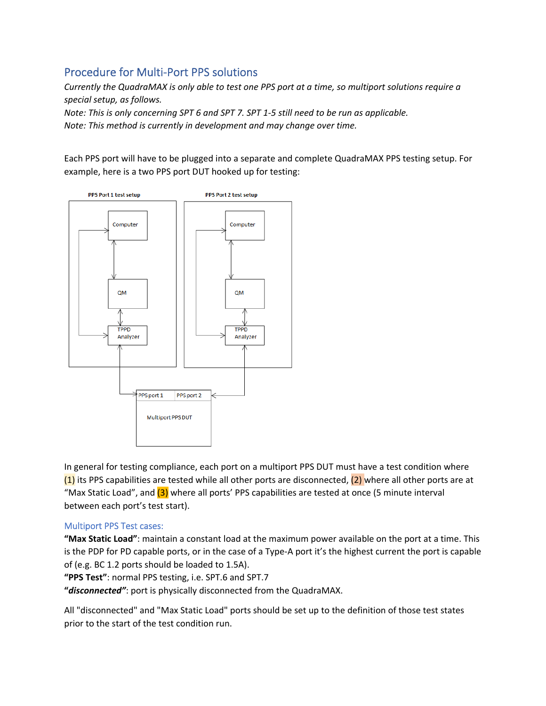# Procedure for Multi‐Port PPS solutions

*Currently the QuadraMAX is only able to test one PPS port at a time, so multiport solutions require a special setup, as follows.* 

*Note: This is only concerning SPT 6 and SPT 7. SPT 1‐5 still need to be run as applicable. Note: This method is currently in development and may change over time.* 

Each PPS port will have to be plugged into a separate and complete QuadraMAX PPS testing setup. For example, here is a two PPS port DUT hooked up for testing:



In general for testing compliance, each port on a multiport PPS DUT must have a test condition where  $(1)$  its PPS capabilities are tested while all other ports are disconnected,  $(2)$  where all other ports are at "Max Static Load", and (3) where all ports' PPS capabilities are tested at once (5 minute interval between each port's test start).

### Multiport PPS Test cases:

**"Max Static Load"**: maintain a constant load at the maximum power available on the port at a time. This is the PDP for PD capable ports, or in the case of a Type‐A port it's the highest current the port is capable of (e.g. BC 1.2 ports should be loaded to 1.5A).

**"PPS Test"**: normal PPS testing, i.e. SPT.6 and SPT.7

**"***disconnected"*: port is physically disconnected from the QuadraMAX.

All "disconnected" and "Max Static Load" ports should be set up to the definition of those test states prior to the start of the test condition run.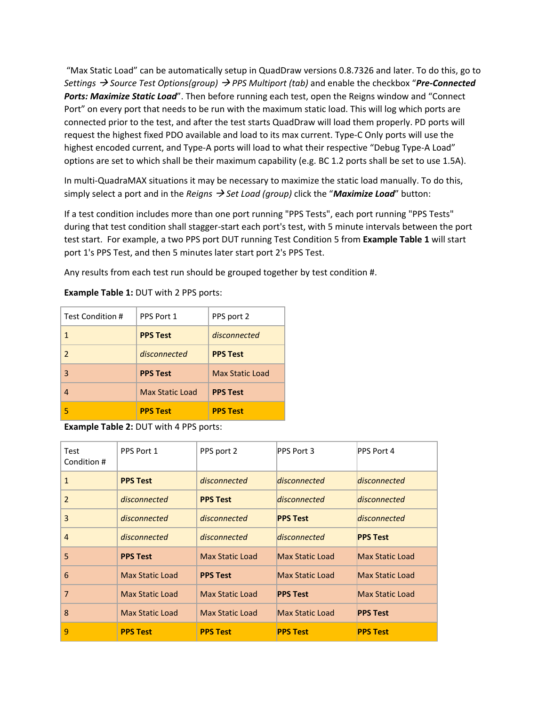"Max Static Load" can be automatically setup in QuadDraw versions 0.8.7326 and later. To do this, go to *Settings Source Test Options(group) PPS Multiport (tab)* and enable the checkbox "*Pre‐Connected Ports: Maximize Static Load*". Then before running each test, open the Reigns window and "Connect Port" on every port that needs to be run with the maximum static load. This will log which ports are connected prior to the test, and after the test starts QuadDraw will load them properly. PD ports will request the highest fixed PDO available and load to its max current. Type‐C Only ports will use the highest encoded current, and Type-A ports will load to what their respective "Debug Type-A Load" options are set to which shall be their maximum capability (e.g. BC 1.2 ports shall be set to use 1.5A).

In multi‐QuadraMAX situations it may be necessary to maximize the static load manually. To do this, simply select a port and in the *Reigns Set Load (group)* click the "*Maximize Load*" button:

If a test condition includes more than one port running "PPS Tests", each port running "PPS Tests" during that test condition shall stagger‐start each port's test, with 5 minute intervals between the port test start. For example, a two PPS port DUT running Test Condition 5 from **Example Table 1** will start port 1's PPS Test, and then 5 minutes later start port 2's PPS Test.

Any results from each test run should be grouped together by test condition #.

| Test Condition # | PPS Port 1             | PPS port 2             |
|------------------|------------------------|------------------------|
|                  | <b>PPS Test</b>        | disconnected           |
| $\mathcal{P}$    | disconnected           | <b>PPS Test</b>        |
| 3                | <b>PPS Test</b>        | <b>Max Static Load</b> |
|                  | <b>Max Static Load</b> | <b>PPS Test</b>        |
|                  | <b>PPS Test</b>        | <b>PPS Test</b>        |

**Example Table 1:** DUT with 2 PPS ports:

**Example Table 2:** DUT with 4 PPS ports:

| Test<br>Condition # | PPS Port 1             | PPS port 2             | PPS Port 3             | PPS Port 4             |
|---------------------|------------------------|------------------------|------------------------|------------------------|
| $\mathbf{1}$        | <b>PPS Test</b>        | disconnected           | disconnected           | disconnected           |
| $\overline{2}$      | disconnected           | <b>PPS Test</b>        | disconnected           | disconnected           |
| 3                   | disconnected           | disconnected           | <b>PPS Test</b>        | disconnected           |
| $\overline{4}$      | disconnected           | disconnected           | disconnected           | <b>PPS Test</b>        |
| 5                   | <b>PPS Test</b>        | <b>Max Static Load</b> | <b>Max Static Load</b> | <b>Max Static Load</b> |
| 6                   | <b>Max Static Load</b> | <b>PPS Test</b>        | <b>Max Static Load</b> | <b>Max Static Load</b> |
| 7                   | Max Static Load        | <b>Max Static Load</b> | <b>PPS Test</b>        | <b>Max Static Load</b> |
| 8                   | Max Static Load        | <b>Max Static Load</b> | <b>Max Static Load</b> | <b>PPS Test</b>        |
| 9                   | <b>PPS Test</b>        | <b>PPS Test</b>        | <b>PPS Test</b>        | <b>PPS Test</b>        |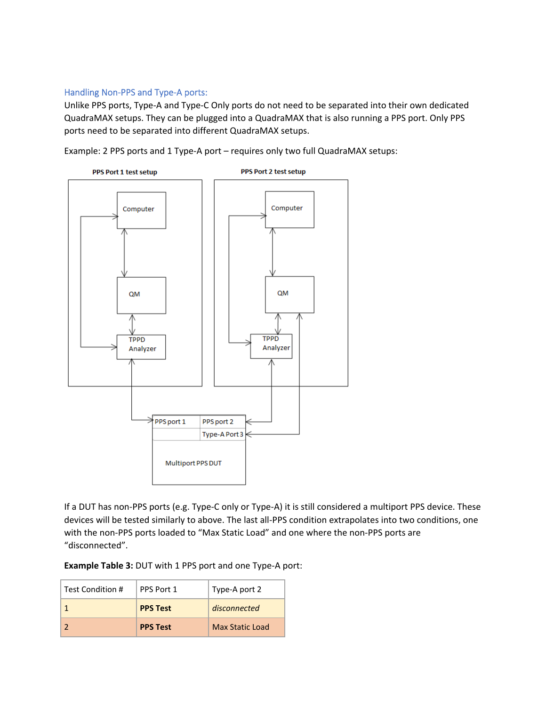### Handling Non‐PPS and Type‐A ports:

Unlike PPS ports, Type‐A and Type‐C Only ports do not need to be separated into their own dedicated QuadraMAX setups. They can be plugged into a QuadraMAX that is also running a PPS port. Only PPS ports need to be separated into different QuadraMAX setups.

Example: 2 PPS ports and 1 Type‐A port – requires only two full QuadraMAX setups:



If a DUT has non‐PPS ports (e.g. Type‐C only or Type‐A) it is still considered a multiport PPS device. These devices will be tested similarly to above. The last all‐PPS condition extrapolates into two conditions, one with the non‐PPS ports loaded to "Max Static Load" and one where the non‐PPS ports are "disconnected".

**Example Table 3:** DUT with 1 PPS port and one Type‐A port:

| Test Condition # | PPS Port 1      | Type-A port 2          |
|------------------|-----------------|------------------------|
|                  | <b>PPS Test</b> | disconnected           |
|                  | <b>PPS Test</b> | <b>Max Static Load</b> |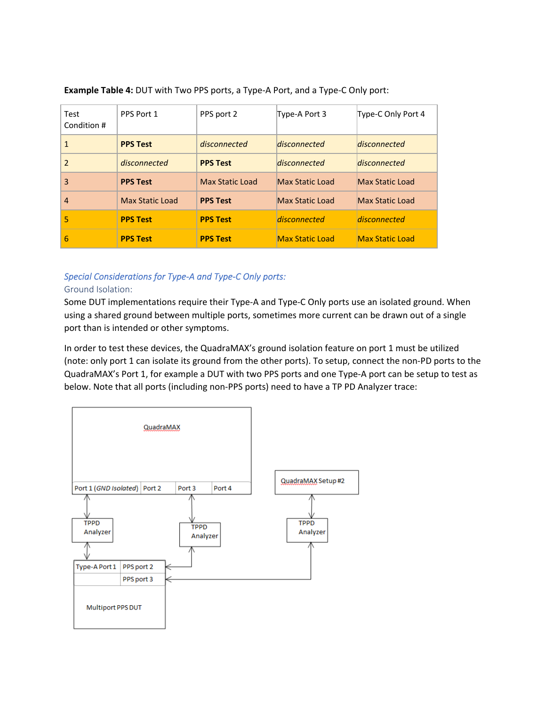| Test<br>Condition # | PPS Port 1             | PPS port 2      | Type-A Port 3          | Type-C Only Port 4     |
|---------------------|------------------------|-----------------|------------------------|------------------------|
| 1                   | <b>PPS Test</b>        | disconnected    | disconnected           | disconnected           |
| 2                   | disconnected           | <b>PPS Test</b> | disconnected           | disconnected           |
| 3                   | <b>PPS Test</b>        | Max Static Load | <b>Max Static Load</b> | <b>Max Static Load</b> |
| 4                   | <b>Max Static Load</b> | <b>PPS Test</b> | <b>Max Static Load</b> | <b>Max Static Load</b> |
| 5                   | <b>PPS Test</b>        | <b>PPS Test</b> | disconnected           | disconnected           |
| 6                   | <b>PPS Test</b>        | <b>PPS Test</b> | <b>Max Static Load</b> | <b>Max Static Load</b> |

**Example Table 4:** DUT with Two PPS ports, a Type‐A Port, and a Type‐C Only port:

### *Special Considerations for Type‐A and Type‐C Only ports:*

### Ground Isolation:

Some DUT implementations require their Type‐A and Type‐C Only ports use an isolated ground. When using a shared ground between multiple ports, sometimes more current can be drawn out of a single port than is intended or other symptoms.

In order to test these devices, the QuadraMAX's ground isolation feature on port 1 must be utilized (note: only port 1 can isolate its ground from the other ports). To setup, connect the non‐PD ports to the QuadraMAX's Port 1, for example a DUT with two PPS ports and one Type‐A port can be setup to test as below. Note that all ports (including non‐PPS ports) need to have a TP PD Analyzer trace: